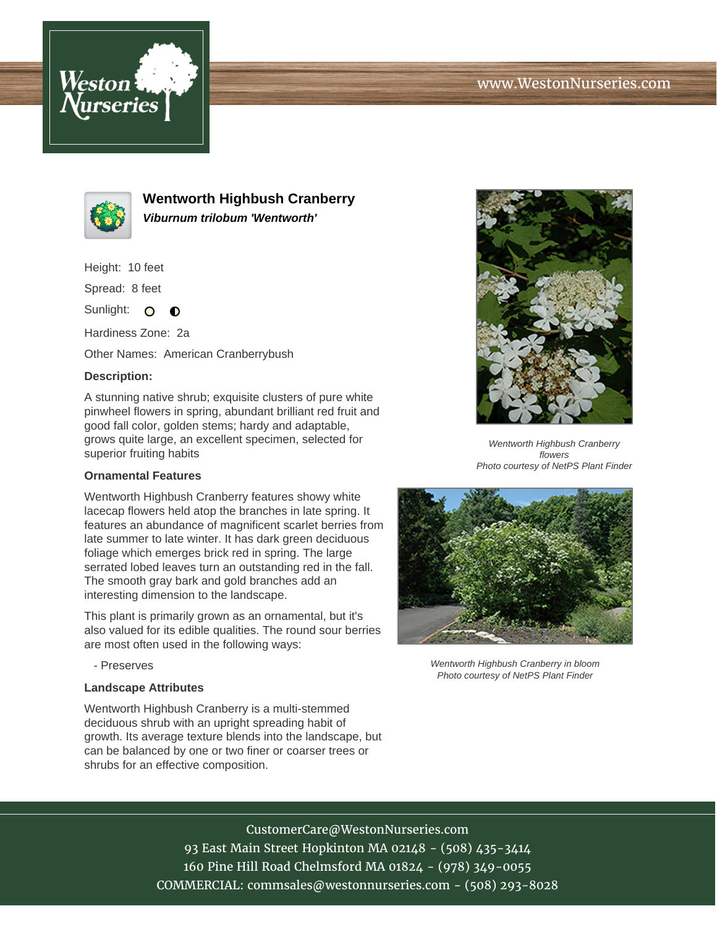



**Wentworth Highbush Cranberry Viburnum trilobum 'Wentworth'**

Height: 10 feet

Spread: 8 feet

Sunlight: O  $\bullet$ 

Hardiness Zone: 2a

Other Names: American Cranberrybush

## **Description:**

A stunning native shrub; exquisite clusters of pure white pinwheel flowers in spring, abundant brilliant red fruit and good fall color, golden stems; hardy and adaptable, grows quite large, an excellent specimen, selected for superior fruiting habits

## **Ornamental Features**

Wentworth Highbush Cranberry features showy white lacecap flowers held atop the branches in late spring. It features an abundance of magnificent scarlet berries from late summer to late winter. It has dark green deciduous foliage which emerges brick red in spring. The large serrated lobed leaves turn an outstanding red in the fall. The smooth gray bark and gold branches add an interesting dimension to the landscape.

This plant is primarily grown as an ornamental, but it's also valued for its edible qualities. The round sour berries are most often used in the following ways:

- Preserves

#### **Landscape Attributes**

Wentworth Highbush Cranberry is a multi-stemmed deciduous shrub with an upright spreading habit of growth. Its average texture blends into the landscape, but can be balanced by one or two finer or coarser trees or shrubs for an effective composition.



Wentworth Highbush Cranberry flowers Photo courtesy of NetPS Plant Finder



Wentworth Highbush Cranberry in bloom Photo courtesy of NetPS Plant Finder

# CustomerCare@WestonNurseries.com

93 East Main Street Hopkinton MA 02148 - (508) 435-3414 160 Pine Hill Road Chelmsford MA 01824 - (978) 349-0055 COMMERCIAL: commsales@westonnurseries.com - (508) 293-8028